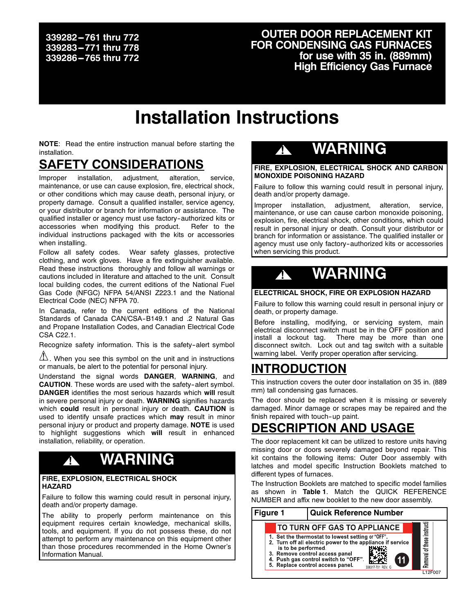### **339282 ---761 thru 772 339283 ---771 thru 778** 339286-765 thru 772

### **OUTER DOOR REPLACEMENT KIT FOR CONDENSING GAS FURNACES for use with 35 in. (889mm) High Efficiency Gas Furnace**

# **Installation Instructions**

**NOTE**: Read the entire instruction manual before starting the installation.

### **SAFETY CONSIDERATIONS**

Improper installation, adjustment, alteration, service, maintenance, or use can cause explosion, fire, electrical shock, or other conditions which may cause death, personal injury, or property damage. Consult a qualified installer, service agency, or your distributor or branch for information or assistance. The qualified installer or agency must use factory-authorized kits or accessories when modifying this product. Refer to the individual instructions packaged with the kits or accessories when installing.

Follow all safety codes. Wear safety glasses, protective clothing, and work gloves. Have a fire extinguisher available. Read these instructions thoroughly and follow all warnings or cautions included in literature and attached to the unit. Consult local building codes, the current editions of the National Fuel Gas Code (NFGC) NFPA 54/ANSI Z223.1 and the National Electrical Code (NEC) NFPA 70.

In Canada, refer to the current editions of the National Standards of Canada CAN/CSA-B149.1 and .2 Natural Gas and Propane Installation Codes, and Canadian Electrical Code CSA C22.1.

Recognize safety information. This is the safety-alert symbol

 $\mathbb{B}$ . When you see this symbol on the unit and in instructions or manuals, be alert to the potential for personal injury.

Understand the signal words **DANGER**, **WARNING**, and **CAUTION**. These words are used with the safety-alert symbol. **DANGER** identifies the most serious hazards which **will** result in severe personal injury or death. **WARNING** signifies hazards which **could** result in personal injury or death. **CAUTION** is used to identify unsafe practices which **may** result in minor personal injury or product and property damage. **NOTE** is used to highlight suggestions which **will** result in enhanced installation, reliability, or operation.

# **! WARNING**

#### **FIRE, EXPLOSION, ELECTRICAL SHOCK HAZARD**

Failure to follow this warning could result in personal injury, death and/or property damage.

The ability to properly perform maintenance on this equipment requires certain knowledge, mechanical skills, tools, and equipment. If you do not possess these, do not attempt to perform any maintenance on this equipment other than those procedures recommended in the Home Owner's Information Manual.

## **! WARNING**

**FIRE, EXPLOSION, ELECTRICAL SHOCK AND CARBON MONOXIDE POISONING HAZARD**

Failure to follow this warning could result in personal injury, death and/or property damage.

Improper installation, adjustment, alteration, service, maintenance, or use can cause carbon monoxide poisoning, explosion, fire, electrical shock, other conditions, which could result in personal injury or death. Consult your distributor or branch for information or assistance. The qualified installer or agency must use only factory-authorized kits or accessories when servicing this product.

# **! WARNING**

#### **ELECTRICAL SHOCK, FIRE OR EXPLOSION HAZARD**

Failure to follow this warning could result in personal injury or death, or property damage.

Before installing, modifying, or servicing system, main electrical disconnect switch must be in the OFF position and install a lockout tag. There may be more than one disconnect switch. Lock out and tag switch with a suitable warning label. Verify proper operation after servicing.

### **INTRODUCTION**

This instruction covers the outer door installation on 35 in. (889 mm) tall condensing gas furnaces.

The door should be replaced when it is missing or severely damaged. Minor damage or scrapes may be repaired and the finish repaired with touch-up paint.

## **DESCRIPTION AND USAGE**

The door replacement kit can be utilized to restore units having missing door or doors severely damaged beyond repair. This kit contains the following items: Outer Door assembly with latches and model specific Instruction Booklets matched to different types of furnaces.

The Instruction Booklets are matched to specific model families as shown in **Table 1**. Match the QUICK REFERENCE NUMBER and affix new booklet to the new door assembly.

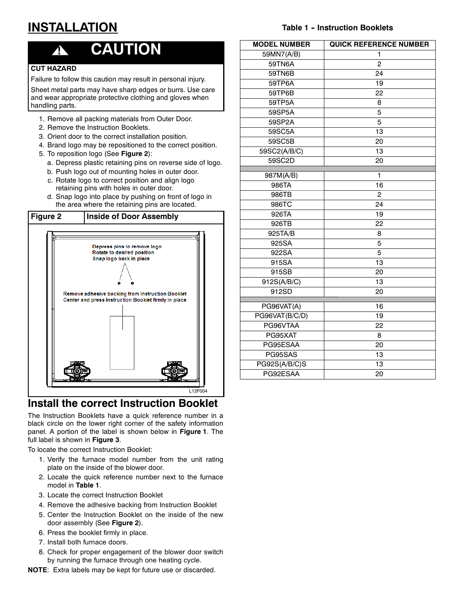## **INSTALLATION**

#### **Table 1 - Instruction Booklets**

## **! CAUTION**

### **CUT HAZARD**

Failure to follow this caution may result in personal injury.

Sheet metal parts may have sharp edges or burrs. Use care and wear appropriate protective clothing and gloves when handling parts.

- 1. Remove all packing materials from Outer Door.
- 2. Remove the Instruction Booklets.
- 3. Orient door to the correct installation position.
- 4. Brand logo may be repositioned to the correct position.
- 5. To reposition logo (See **Figure 2**):
	- a. Depress plastic retaining pins on reverse side of logo.
	- b. Push logo out of mounting holes in outer door.
	- c. Rotate logo to correct position and align logo retaining pins with holes in outer door.
	- d. Snap logo into place by pushing on front of logo in the area where the retaining pins are located.



### **Install the correct Instruction Booklet**

The Instruction Booklets have a quick reference number in a black circle on the lower right corner of the safety information panel. A portion of the label is shown below in **Figure 1**. The full label is shown in **Figure 3**.

To locate the correct Instruction Booklet:

- 1. Verify the furnace model number from the unit rating plate on the inside of the blower door.
- 2. Locate the quick reference number next to the furnace model in **Table 1**.
- 3. Locate the correct Instruction Booklet
- 4. Remove the adhesive backing from Instruction Booklet
- 5. Center the Instruction Booklet on the inside of the new door assembly (See **Figure 2**).
- 6. Press the booklet firmly in place.
- 7. Install both furnace doors.
- 8. Check for proper engagement of the blower door switch by running the furnace through one heating cycle.

**NOTE**: Extra labels may be kept for future use or discarded.

| <b>MODEL NUMBER</b> | <b>QUICK REFERENCE NUMBER</b> |
|---------------------|-------------------------------|
| 59MN7(A/B)          | 1                             |
| 59TN6A              | $\overline{2}$                |
| 59TN6B              | 24                            |
| 59TP6A              | 19                            |
| 59TP6B              | 22                            |
| 59TP5A              | 8                             |
| 59SP5A              | 5                             |
| 59SP2A              | 5                             |
| 59SC5A              | 13                            |
| 59SC5B              | 20                            |
| 59SC2(A/B/C)        | 13                            |
| 59SC2D              | 20                            |
| 987M(A/B)           | 1                             |
| 986TA               | 16                            |
| 986TB               | $\overline{2}$                |
| 986TC               | 24                            |
| 926TA               | 19                            |
| 926TB               | 22                            |
| 925TA/B             | 8                             |
| 925SA               | 5                             |
| 922SA               | 5                             |
| 915SA               | 13                            |
| 915SB               | 20                            |
| 912S(A/B/C)         | 13                            |
| 912SD               | 20                            |
|                     |                               |
| PG96VAT(A)          | 16                            |
| PG96VAT(B/C/D)      | 19                            |
| PG96VTAA            | 22                            |
| PG95XAT             | 8                             |
| PG95ESAA            | 20                            |
| PG95SAS             | 13                            |
| PG92S(A/B/C)S       | 13                            |
| PG92ESAA            | 20                            |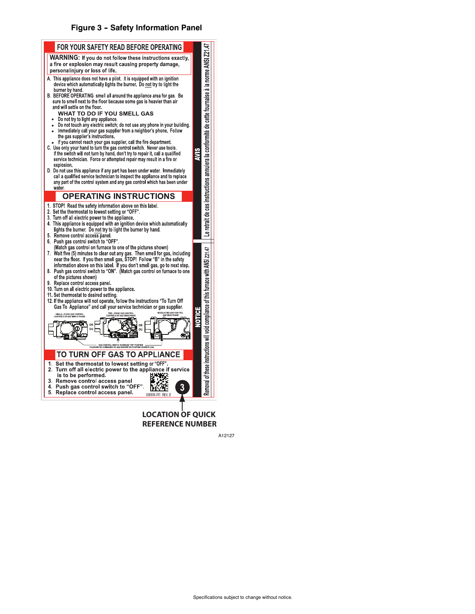#### **Figure 3 -- Safety Information Panel**



**REFERENCE NUMBER**

A12127